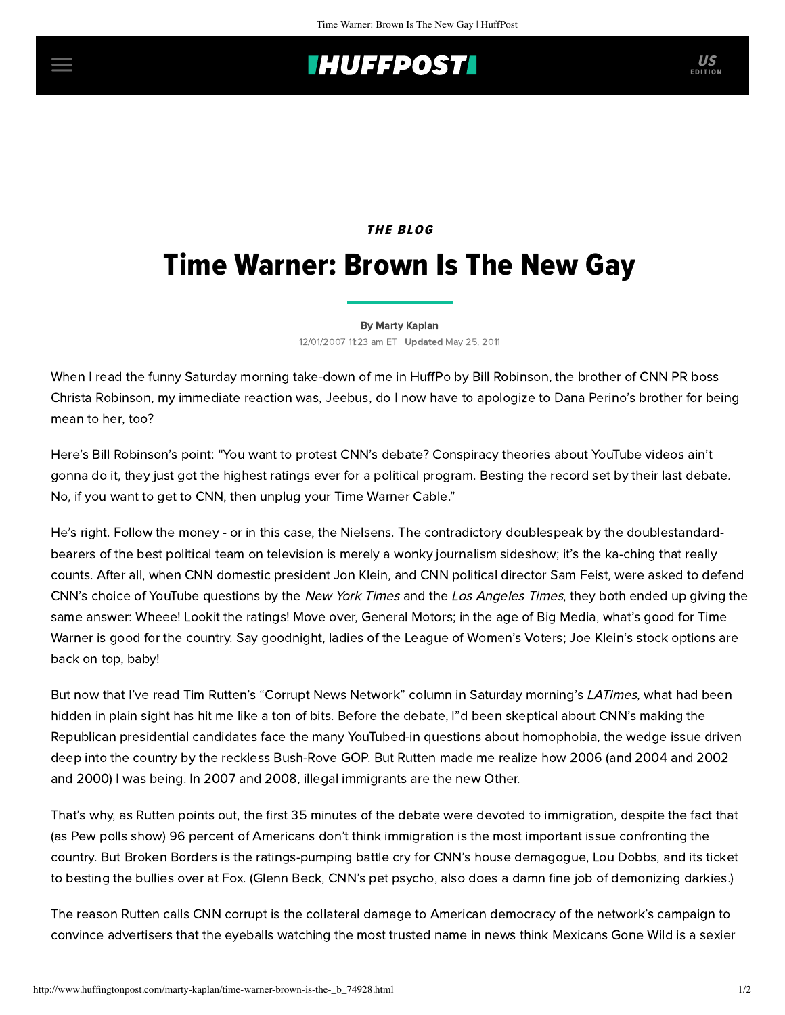## **IHUFFPOSTI** US

### **THE BLOG**

# Time Warner: Brown Is The New Gay

#### [By Marty Kaplan](http://www.huffingtonpost.com/author/marty-kaplan)

12/01/2007 11:23 am ET | Updated May 25, 2011

When I read the funny Saturday morning take-down of me in HuffPo by [Bill Robinson](http://www.huffingtonpost.com/bill-robinson/cnn-vs-wga_b_74918.html), the brother of CNN PR boss [Christa Robinson, my immediate reaction was, Jeebus, do I now have to apologize to Dana Perino's brother for be](http://www.huffingtonpost.com/marty-kaplan/cnn-flack-sez-im-pretty_b_74505.html)ing [mean to her](http://www.huffingtonpost.com/marty-kaplan/ask-dana-perino_b_67458.html), too?

Here's Bill Robinson's point: "You want to protest CNN's debate? Conspiracy theories about YouTube videos ain't gonna do it, they just got the highest ratings ever for a political program. Besting the record set by their last debate. No, if you want to get to CNN, then unplug your Time Warner Cable."

He's right. Follow the money - or in this case, the Nielsens. The contradictory doublespeak by the doublestandard[bearers of the best political team on television is merely a wonky journalism sideshow; it's the ka-ching that really](http://www.huffingtonpost.com/marty-kaplan/cnn-oh-what-a-tangled-w_b_74826.html) counts. After all, when CNN domestic president Jon Klein, and CNN political director Sam Feist, were asked to defend CNN's choice of YouTube questions by the [New York](http://www.nytimes.com/2007/11/30/us/politics/30repubs.html?_r=1&oref=slogin) Times and the [Los Angeles Times](http://www.latimes.com/news/printedition/asection/la-na-youtube30nov30,1,4823606.story), they both ended up giving the same answer: Wheee! Lookit the ratings! Move over, General Motors; in the age of Big Media, what's good for Time Warner is good for the country. Say goodnight, ladies of the League of Women's Voters; [Joe Klein](http://www.salon.com/opinion/greenwald/2007/11/27/time/)'s stock options are back on top, baby!

But now that I've read Tim Rutten's "Corrupt News Network" [column](http://www.latimes.com/entertainment/news/business/newsletter/la-et-rutten1dec01,1,2183723.column) in Saturday morning's LATimes, what had been hidden in plain sight has hit me like a ton of bits. Before the debate, [I"d been skeptical](http://www.huffingtonpost.com/marty-kaplan/the-cnnrubetube-debate_b_74003.html) about CNN's making the Republican presidential candidates face the many YouTubed-in questions about homophobia, the wedge issue driven deep into the country by the reckless Bush-Rove GOP. But Rutten made me realize how 2006 (and 2004 and 2002 and 2000) I was being. In 2007 and 2008, illegal immigrants are the new Other.

That's why, as Rutten points out, the first 35 minutes of the debate were devoted to immigration, despite the fact that (as Pew polls show) 96 percent of Americans don't think immigration is the most important issue confronting the country. But Broken Borders is the ratings-pumping battle cry for CNN's house demagogue, Lou Dobbs, and its ticket to besting the bullies over at Fox. (Glenn Beck, CNN's pet psycho, also does a damn fine job of demonizing darkies.)

The reason Rutten calls CNN corrupt is the collateral damage to American democracy of the network's campaign to convince advertisers that the eyeballs watching the most trusted name in news think Mexicans Gone Wild is a sexier